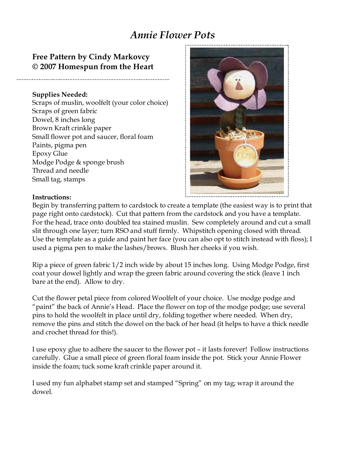## *Annie Flower Pots*

エクフィム クサイム ツクイム ツクイム かかんみ かかんみ かりんみ かやんき かりんき かりんき かったき かったき かっとき かくろう かくろう かくろう かんとう かんふう

## **Free Pattern by Cindy Markovcy © 2007 Homespun from the Heart**

## **Supplies Needed:**

Scraps of muslin, woolfelt (your color choice) Scraps of green fabric Dowel, 8 inches long Brown Kraft crinkle paper Small flower pot and saucer, floral foam Paints, pigma pen Epoxy Glue Modge Podge & sponge brush Thread and needle Small tag, stamps



## **Instructions:**

Begin by transferring pattern to cardstock to create a template (the easiest way is to print that page right onto cardstock). Cut that pattern from the cardstock and you have a template. For the head, trace onto doubled tea stained muslin. Sew completely around and cut a small slit through one layer; turn RSO and stuff firmly. Whipstitch opening closed with thread. Use the template as a guide and paint her face (you can also opt to stitch instead with floss); I used a pigma pen to make the lashes/brows. Blush her cheeks if you wish.

Rip a piece of green fabric 1/2 inch wide by about 15 inches long. Using Modge Podge, first coat your dowel lightly and wrap the green fabric around covering the stick (leave 1 inch bare at the end). Allow to dry.

Cut the flower petal piece from colored Woolfelt of your choice. Use modge podge and "paint" the back of Annie's Head. Place the flower on top of the modge podge; use several pins to hold the woolfelt in place until dry, folding together where needed. When dry, remove the pins and stitch the dowel on the back of her head (it helps to have a thick needle and crochet thread for this!).

I use epoxy glue to adhere the saucer to the flower pot – it lasts forever! Follow instructions carefully. Glue a small piece of green floral foam inside the pot. Stick your Annie Flower inside the foam; tuck some kraft crinkle paper around it.

I used my fun alphabet stamp set and stamped "Spring" on my tag; wrap it around the dowel.